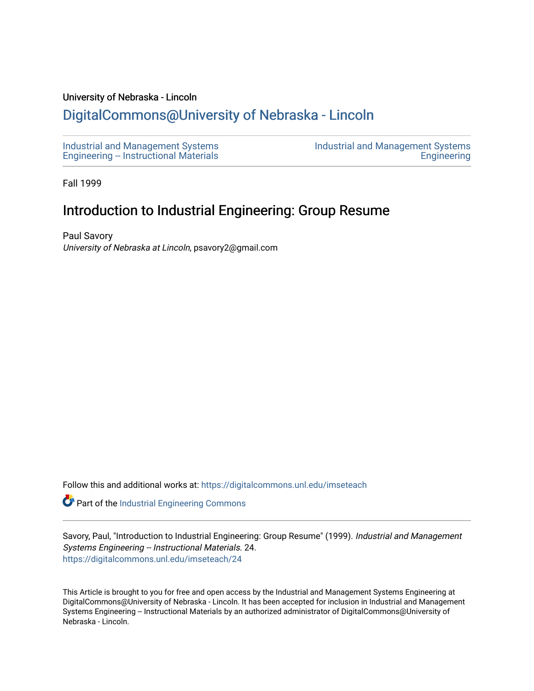## University of Nebraska - Lincoln

## [DigitalCommons@University of Nebraska - Lincoln](https://digitalcommons.unl.edu/)

[Industrial and Management Systems](https://digitalcommons.unl.edu/imseteach)  [Engineering -- Instructional Materials](https://digitalcommons.unl.edu/imseteach)  [Industrial and Management Systems](https://digitalcommons.unl.edu/imse)  **Engineering** 

Fall 1999

## Introduction to Industrial Engineering: Group Resume

Paul Savory University of Nebraska at Lincoln, psavory2@gmail.com

Follow this and additional works at: [https://digitalcommons.unl.edu/imseteach](https://digitalcommons.unl.edu/imseteach?utm_source=digitalcommons.unl.edu%2Fimseteach%2F24&utm_medium=PDF&utm_campaign=PDFCoverPages) 

Part of the [Industrial Engineering Commons](http://network.bepress.com/hgg/discipline/307?utm_source=digitalcommons.unl.edu%2Fimseteach%2F24&utm_medium=PDF&utm_campaign=PDFCoverPages)

Savory, Paul, "Introduction to Industrial Engineering: Group Resume" (1999). Industrial and Management Systems Engineering -- Instructional Materials. 24. [https://digitalcommons.unl.edu/imseteach/24](https://digitalcommons.unl.edu/imseteach/24?utm_source=digitalcommons.unl.edu%2Fimseteach%2F24&utm_medium=PDF&utm_campaign=PDFCoverPages)

This Article is brought to you for free and open access by the Industrial and Management Systems Engineering at DigitalCommons@University of Nebraska - Lincoln. It has been accepted for inclusion in Industrial and Management Systems Engineering -- Instructional Materials by an authorized administrator of DigitalCommons@University of Nebraska - Lincoln.